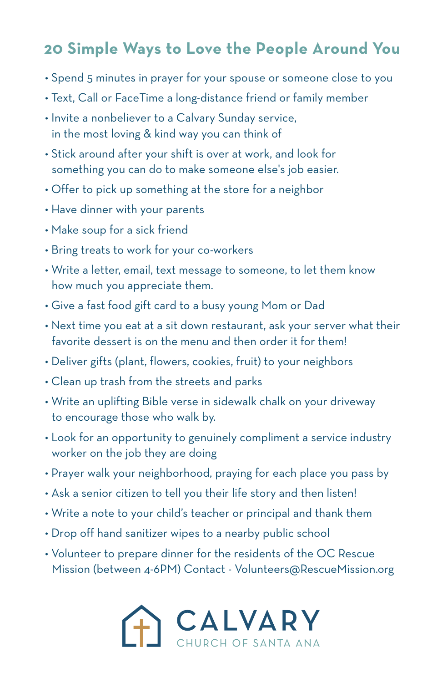## **20 Simple Ways to Love the People Around You**

- Spend 5 minutes in prayer for your spouse or someone close to you
- Text, Call or FaceTime a long-distance friend or family member
- Invite a nonbeliever to a Calvary Sunday service, in the most loving & kind way you can think of
- Stick around after your shift is over at work, and look for something you can do to make someone else's job easier.
- Offer to pick up something at the store for a neighbor
- Have dinner with your parents
- Make soup for a sick friend
- Bring treats to work for your co-workers
- Write a letter, email, text message to someone, to let them know how much you appreciate them.
- Give a fast food gift card to a busy young Mom or Dad
- Next time you eat at a sit down restaurant, ask your server what their favorite dessert is on the menu and then order it for them!
- Deliver gifts (plant, flowers, cookies, fruit) to your neighbors
- Clean up trash from the streets and parks
- Write an uplifting Bible verse in sidewalk chalk on your driveway to encourage those who walk by.
- Look for an opportunity to genuinely compliment a service industry worker on the job they are doing
- Prayer walk your neighborhood, praying for each place you pass by
- Ask a senior citizen to tell you their life story and then listen!
- Write a note to your child's teacher or principal and thank them
- Drop off hand sanitizer wipes to a nearby public school
- Volunteer to prepare dinner for the residents of the OC Rescue Mission (between 4-6PM) Contact - Volunteers@RescueMission.org